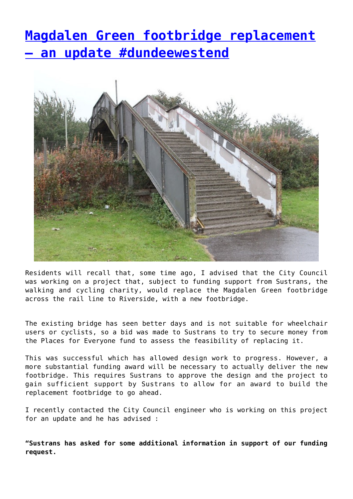## **[Magdalen Green footbridge replacement](http://www.government-world.com/magdalen-green-footbridge-replacement-an-update-dundeewestend/) [– an update #dundeewestend](http://www.government-world.com/magdalen-green-footbridge-replacement-an-update-dundeewestend/)**



Residents will recall that, some time ago, I advised that the City Council was working on a project that, subject to funding support from Sustrans, the walking and cycling charity, would replace the Magdalen Green footbridge across the rail line to Riverside, with a new footbridge.

The existing bridge has seen better days and is not suitable for wheelchair users or cyclists, so a bid was made to Sustrans to try to secure money from the Places for Everyone fund to assess the feasibility of replacing it.

This was successful which has allowed design work to progress. However, a more substantial funding award will be necessary to actually deliver the new footbridge. This requires Sustrans to approve the design and the project to gain sufficient support by Sustrans to allow for an award to build the replacement footbridge to go ahead.

I recently contacted the City Council engineer who is working on this project for an update and he has advised :

**"Sustrans has asked for some additional information in support of our funding request.**